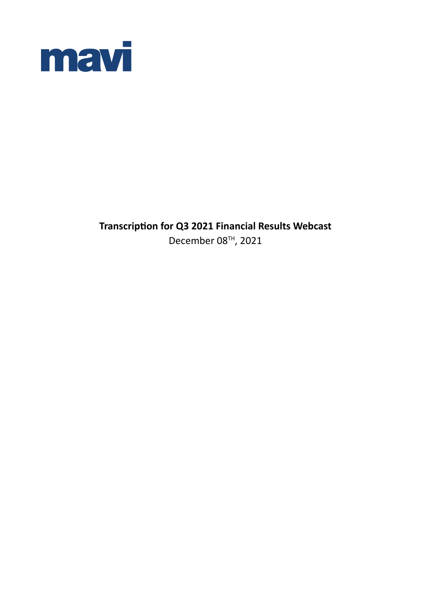

**Transcription for Q3 2021 Financial Results Webcast** December 08TH, 2021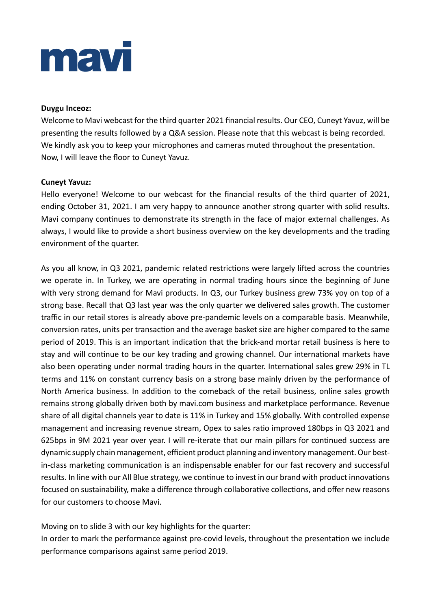# mav

### **Duygu Inceoz:**

Welcome to Mavi webcast for the third quarter 2021 financial results. Our CEO, Cuneyt Yavuz, will be presenting the results followed by a Q&A session. Please note that this webcast is being recorded. We kindly ask you to keep your microphones and cameras muted throughout the presentation. Now, I will leave the floor to Cuneyt Yavuz.

## **Cuneyt Yavuz:**

Hello everyone! Welcome to our webcast for the financial results of the third quarter of 2021, ending October 31, 2021. I am very happy to announce another strong quarter with solid results. Mavi company continues to demonstrate its strength in the face of major external challenges. As always, I would like to provide a short business overview on the key developments and the trading environment of the quarter.

As you all know, in Q3 2021, pandemic related restrictions were largely lifted across the countries we operate in. In Turkey, we are operating in normal trading hours since the beginning of June with very strong demand for Mavi products. In Q3, our Turkey business grew 73% yoy on top of a strong base. Recall that Q3 last year was the only quarter we delivered sales growth. The customer traffic in our retail stores is already above pre-pandemic levels on a comparable basis. Meanwhile, conversion rates, units per transaction and the average basket size are higher compared to the same period of 2019. This is an important indication that the brick-and mortar retail business is here to stay and will continue to be our key trading and growing channel. Our international markets have also been operating under normal trading hours in the quarter. International sales grew 29% in TL terms and 11% on constant currency basis on a strong base mainly driven by the performance of North America business. In addition to the comeback of the retail business, online sales growth remains strong globally driven both by mavi.com business and marketplace performance. Revenue share of all digital channels year to date is 11% in Turkey and 15% globally. With controlled expense management and increasing revenue stream, Opex to sales ratio improved 180bps in Q3 2021 and 625bps in 9M 2021 year over year. I will re-iterate that our main pillars for continued success are dynamic supply chain management, efficient product planning and inventory management. Our bestin-class marketing communication is an indispensable enabler for our fast recovery and successful results. In line with our All Blue strategy, we continue to invest in our brand with product innovations focused on sustainability, make a difference through collaborative collections, and offer new reasons for our customers to choose Mavi.

Moving on to slide 3 with our key highlights for the quarter:

In order to mark the performance against pre-covid levels, throughout the presentation we include performance comparisons against same period 2019.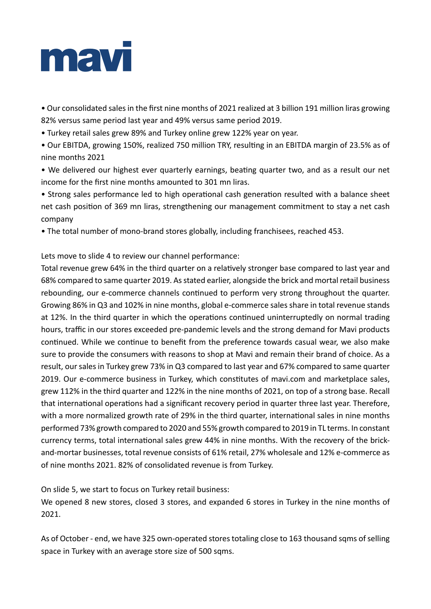

• Our consolidated sales in the first nine months of 2021 realized at 3 billion 191 million liras growing 82% versus same period last year and 49% versus same period 2019.

• Turkey retail sales grew 89% and Turkey online grew 122% year on year.

• Our EBITDA, growing 150%, realized 750 million TRY, resulting in an EBITDA margin of 23.5% as of nine months 2021

• We delivered our highest ever quarterly earnings, beating quarter two, and as a result our net income for the first nine months amounted to 301 mn liras.

• Strong sales performance led to high operational cash generation resulted with a balance sheet net cash position of 369 mn liras, strengthening our management commitment to stay a net cash company

• The total number of mono-brand stores globally, including franchisees, reached 453.

Lets move to slide 4 to review our channel performance:

Total revenue grew 64% in the third quarter on a relatively stronger base compared to last year and 68% compared to same quarter 2019. As stated earlier, alongside the brick and mortal retail business rebounding, our e-commerce channels continued to perform very strong throughout the quarter. Growing 86% in Q3 and 102% in nine months, global e-commerce sales share in total revenue stands at 12%. In the third quarter in which the operations continued uninterruptedly on normal trading hours, traffic in our stores exceeded pre-pandemic levels and the strong demand for Mavi products continued. While we continue to benefit from the preference towards casual wear, we also make sure to provide the consumers with reasons to shop at Mavi and remain their brand of choice. As a result, our sales in Turkey grew 73% in Q3 compared to last year and 67% compared to same quarter 2019. Our e-commerce business in Turkey, which constitutes of mavi.com and marketplace sales, grew 112% in the third quarter and 122% in the nine months of 2021, on top of a strong base. Recall that international operations had a significant recovery period in quarter three last year. Therefore, with a more normalized growth rate of 29% in the third quarter, international sales in nine months performed 73% growth compared to 2020 and 55% growth compared to 2019 in TL terms. In constant currency terms, total international sales grew 44% in nine months. With the recovery of the brickand-mortar businesses, total revenue consists of 61% retail, 27% wholesale and 12% e-commerce as of nine months 2021. 82% of consolidated revenue is from Turkey.

On slide 5, we start to focus on Turkey retail business:

We opened 8 new stores, closed 3 stores, and expanded 6 stores in Turkey in the nine months of 2021.

As of October - end, we have 325 own-operated stores totaling close to 163 thousand sqms of selling space in Turkey with an average store size of 500 sqms.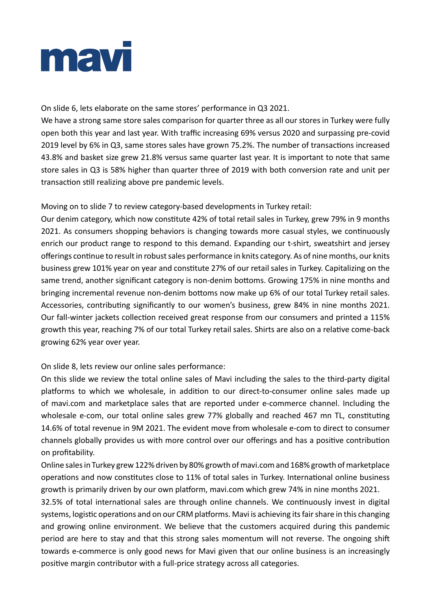

On slide 6, lets elaborate on the same stores' performance in Q3 2021.

We have a strong same store sales comparison for quarter three as all our stores in Turkey were fully open both this year and last year. With traffic increasing 69% versus 2020 and surpassing pre-covid 2019 level by 6% in Q3, same stores sales have grown 75.2%. The number of transactions increased 43.8% and basket size grew 21.8% versus same quarter last year. It is important to note that same store sales in Q3 is 58% higher than quarter three of 2019 with both conversion rate and unit per transaction still realizing above pre pandemic levels.

Moving on to slide 7 to review category-based developments in Turkey retail:

Our denim category, which now constitute 42% of total retail sales in Turkey, grew 79% in 9 months 2021. As consumers shopping behaviors is changing towards more casual styles, we continuously enrich our product range to respond to this demand. Expanding our t-shirt, sweatshirt and jersey offerings continue to result in robust sales performance in knits category. As of nine months, our knits business grew 101% year on year and constitute 27% of our retail sales in Turkey. Capitalizing on the same trend, another significant category is non-denim bottoms. Growing 175% in nine months and bringing incremental revenue non-denim bottoms now make up 6% of our total Turkey retail sales. Accessories, contributing significantly to our women's business, grew 84% in nine months 2021. Our fall-winter jackets collection received great response from our consumers and printed a 115% growth this year, reaching 7% of our total Turkey retail sales. Shirts are also on a relative come-back growing 62% year over year.

# On slide 8, lets review our online sales performance:

On this slide we review the total online sales of Mavi including the sales to the third-party digital platforms to which we wholesale, in addition to our direct-to-consumer online sales made up of mavi.com and marketplace sales that are reported under e-commerce channel. Including the wholesale e-com, our total online sales grew 77% globally and reached 467 mn TL, constituting 14.6% of total revenue in 9M 2021. The evident move from wholesale e-com to direct to consumer channels globally provides us with more control over our offerings and has a positive contribution on profitability.

Online sales in Turkey grew 122% driven by 80% growth of mavi.com and 168% growth of marketplace operations and now constitutes close to 11% of total sales in Turkey. International online business growth is primarily driven by our own platform, mavi.com which grew 74% in nine months 2021.

32.5% of total international sales are through online channels. We continuously invest in digital systems, logistic operations and on our CRM platforms. Mavi is achieving its fair share in this changing and growing online environment. We believe that the customers acquired during this pandemic period are here to stay and that this strong sales momentum will not reverse. The ongoing shift towards e-commerce is only good news for Mavi given that our online business is an increasingly positive margin contributor with a full-price strategy across all categories.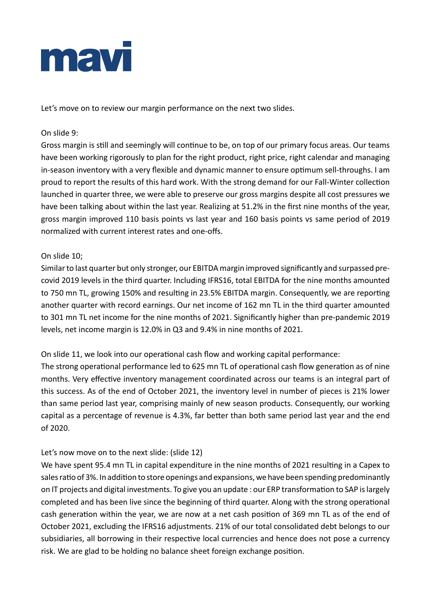

Let's move on to review our margin performance on the next two slides.

# On slide 9:

Gross margin is still and seemingly will continue to be, on top of our primary focus areas. Our teams have been working rigorously to plan for the right product, right price, right calendar and managing in-season inventory with a very flexible and dynamic manner to ensure optimum sell-throughs. I am proud to report the results of this hard work. With the strong demand for our Fall-Winter collection launched in quarter three, we were able to preserve our gross margins despite all cost pressures we have been talking about within the last year. Realizing at 51.2% in the first nine months of the year, gross margin improved 110 basis points vs last year and 160 basis points vs same period of 2019 normalized with current interest rates and one-offs.

## On slide 10;

Similar to last quarter but only stronger, our EBITDA margin improved significantly and surpassed precovid 2019 levels in the third quarter. Including IFRS16, total EBITDA for the nine months amounted to 750 mn TL, growing 150% and resulting in 23.5% EBITDA margin. Consequently, we are reporting another quarter with record earnings. Our net income of 162 mn TL in the third quarter amounted to 301 mn TL net income for the nine months of 2021. Significantly higher than pre-pandemic 2019 levels, net income margin is 12.0% in Q3 and 9.4% in nine months of 2021.

On slide 11, we look into our operational cash flow and working capital performance:

The strong operational performance led to 625 mn TL of operational cash flow generation as of nine months. Very effective inventory management coordinated across our teams is an integral part of this success. As of the end of October 2021, the inventory level in number of pieces is 21% lower than same period last year, comprising mainly of new season products. Consequently, our working capital as a percentage of revenue is 4.3%, far better than both same period last year and the end of 2020.

# Let's now move on to the next slide: (slide 12)

We have spent 95.4 mn TL in capital expenditure in the nine months of 2021 resulting in a Capex to sales ratio of 3%. In addition to store openings and expansions, we have been spending predominantly on IT projects and digital investments. To give you an update : our ERP transformation to SAP is largely completed and has been live since the beginning of third quarter. Along with the strong operational cash generation within the year, we are now at a net cash position of 369 mn TL as of the end of October 2021, excluding the IFRS16 adjustments. 21% of our total consolidated debt belongs to our subsidiaries, all borrowing in their respective local currencies and hence does not pose a currency risk. We are glad to be holding no balance sheet foreign exchange position.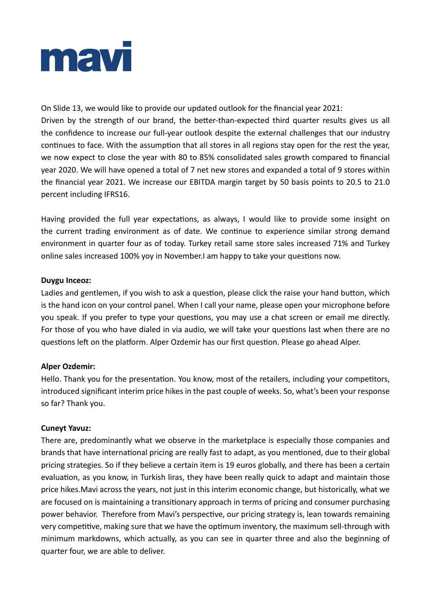

On Slide 13, we would like to provide our updated outlook for the financial year 2021: Driven by the strength of our brand, the better-than-expected third quarter results gives us all the confidence to increase our full-year outlook despite the external challenges that our industry continues to face. With the assumption that all stores in all regions stay open for the rest the year, we now expect to close the year with 80 to 85% consolidated sales growth compared to financial year 2020. We will have opened a total of 7 net new stores and expanded a total of 9 stores within the financial year 2021. We increase our EBITDA margin target by 50 basis points to 20.5 to 21.0 percent including IFRS16.

Having provided the full year expectations, as always, I would like to provide some insight on the current trading environment as of date. We continue to experience similar strong demand environment in quarter four as of today. Turkey retail same store sales increased 71% and Turkey online sales increased 100% yoy in November.I am happy to take your questions now.

## **Duygu Inceoz:**

Ladies and gentlemen, if you wish to ask a question, please click the raise your hand button, which is the hand icon on your control panel. When I call your name, please open your microphone before you speak. If you prefer to type your questions, you may use a chat screen or email me directly. For those of you who have dialed in via audio, we will take your questions last when there are no questions left on the platform. Alper Ozdemir has our first question. Please go ahead Alper.

# **Alper Ozdemir:**

Hello. Thank you for the presentation. You know, most of the retailers, including your competitors, introduced significant interim price hikes in the past couple of weeks. So, what's been your response so far? Thank you.

#### **Cuneyt Yavuz:**

There are, predominantly what we observe in the marketplace is especially those companies and brands that have international pricing are really fast to adapt, as you mentioned, due to their global pricing strategies. So if they believe a certain item is 19 euros globally, and there has been a certain evaluation, as you know, in Turkish liras, they have been really quick to adapt and maintain those price hikes.Mavi across the years, not just in this interim economic change, but historically, what we are focused on is maintaining a transitionary approach in terms of pricing and consumer purchasing power behavior. Therefore from Mavi's perspective, our pricing strategy is, lean towards remaining very competitive, making sure that we have the optimum inventory, the maximum sell-through with minimum markdowns, which actually, as you can see in quarter three and also the beginning of quarter four, we are able to deliver.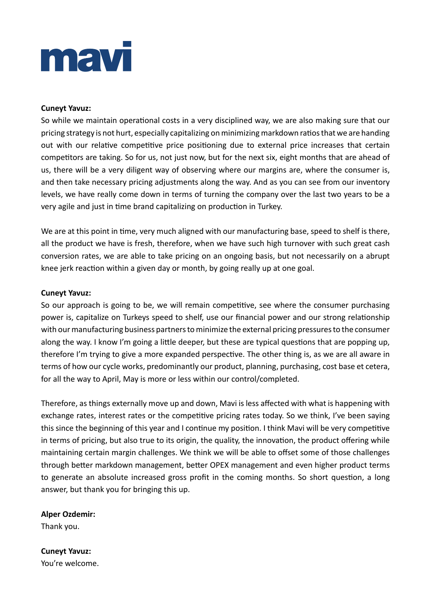# mav

## **Cuneyt Yavuz:**

So while we maintain operational costs in a very disciplined way, we are also making sure that our pricing strategy is not hurt, especially capitalizing on minimizing markdown ratios that we are handing out with our relative competitive price positioning due to external price increases that certain competitors are taking. So for us, not just now, but for the next six, eight months that are ahead of us, there will be a very diligent way of observing where our margins are, where the consumer is, and then take necessary pricing adjustments along the way. And as you can see from our inventory levels, we have really come down in terms of turning the company over the last two years to be a very agile and just in time brand capitalizing on production in Turkey.

We are at this point in time, very much aligned with our manufacturing base, speed to shelf is there, all the product we have is fresh, therefore, when we have such high turnover with such great cash conversion rates, we are able to take pricing on an ongoing basis, but not necessarily on a abrupt knee jerk reaction within a given day or month, by going really up at one goal.

#### **Cuneyt Yavuz:**

So our approach is going to be, we will remain competitive, see where the consumer purchasing power is, capitalize on Turkeys speed to shelf, use our financial power and our strong relationship with our manufacturing business partners to minimize the external pricing pressures to the consumer along the way. I know I'm going a little deeper, but these are typical questions that are popping up, therefore I'm trying to give a more expanded perspective. The other thing is, as we are all aware in terms of how our cycle works, predominantly our product, planning, purchasing, cost base et cetera, for all the way to April, May is more or less within our control/completed.

Therefore, as things externally move up and down, Mavi is less affected with what is happening with exchange rates, interest rates or the competitive pricing rates today. So we think, I've been saying this since the beginning of this year and I continue my position. I think Mavi will be very competitive in terms of pricing, but also true to its origin, the quality, the innovation, the product offering while maintaining certain margin challenges. We think we will be able to offset some of those challenges through better markdown management, better OPEX management and even higher product terms to generate an absolute increased gross profit in the coming months. So short question, a long answer, but thank you for bringing this up.

# **Alper Ozdemir:**

Thank you.

**Cuneyt Yavuz:** You're welcome.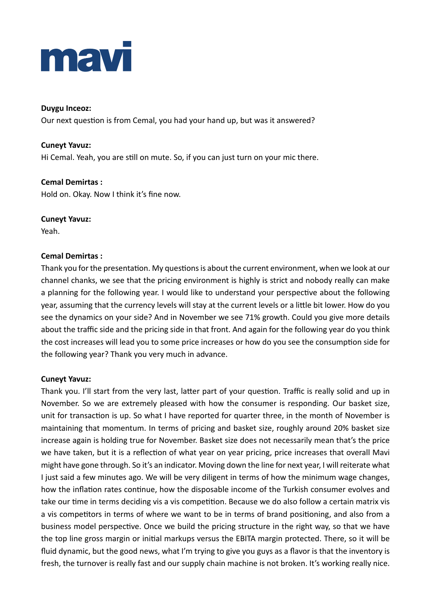

#### **Duygu Inceoz:**

Our next question is from Cemal, you had your hand up, but was it answered?

### **Cuneyt Yavuz:**

Hi Cemal. Yeah, you are still on mute. So, if you can just turn on your mic there.

## **Cemal Demirtas :** Hold on. Okay. Now I think it's fine now.

#### **Cuneyt Yavuz:**

Yeah.

## **Cemal Demirtas :**

Thank you for the presentation. My questions is about the current environment, when we look at our channel chanks, we see that the pricing environment is highly is strict and nobody really can make a planning for the following year. I would like to understand your perspective about the following year, assuming that the currency levels will stay at the current levels or a little bit lower. How do you see the dynamics on your side? And in November we see 71% growth. Could you give more details about the traffic side and the pricing side in that front. And again for the following year do you think the cost increases will lead you to some price increases or how do you see the consumption side for the following year? Thank you very much in advance.

#### **Cuneyt Yavuz:**

Thank you. I'll start from the very last, latter part of your question. Traffic is really solid and up in November. So we are extremely pleased with how the consumer is responding. Our basket size, unit for transaction is up. So what I have reported for quarter three, in the month of November is maintaining that momentum. In terms of pricing and basket size, roughly around 20% basket size increase again is holding true for November. Basket size does not necessarily mean that's the price we have taken, but it is a reflection of what year on year pricing, price increases that overall Mavi might have gone through. So it's an indicator. Moving down the line for next year, I will reiterate what I just said a few minutes ago. We will be very diligent in terms of how the minimum wage changes, how the inflation rates continue, how the disposable income of the Turkish consumer evolves and take our time in terms deciding vis a vis competition. Because we do also follow a certain matrix vis a vis competitors in terms of where we want to be in terms of brand positioning, and also from a business model perspective. Once we build the pricing structure in the right way, so that we have the top line gross margin or initial markups versus the EBITA margin protected. There, so it will be fluid dynamic, but the good news, what I'm trying to give you guys as a flavor is that the inventory is fresh, the turnover is really fast and our supply chain machine is not broken. It's working really nice.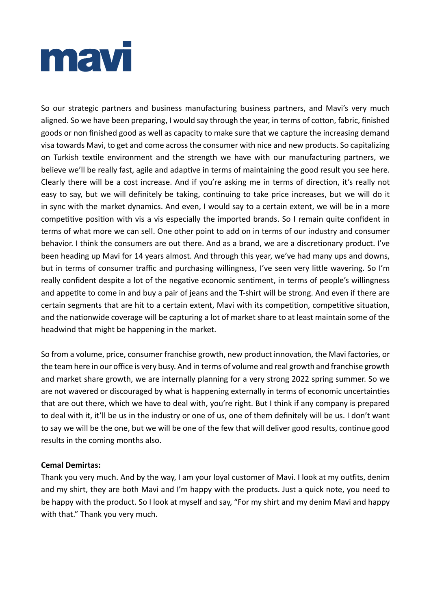

So our strategic partners and business manufacturing business partners, and Mavi's very much aligned. So we have been preparing, I would say through the year, in terms of cotton, fabric, finished goods or non finished good as well as capacity to make sure that we capture the increasing demand visa towards Mavi, to get and come across the consumer with nice and new products. So capitalizing on Turkish textile environment and the strength we have with our manufacturing partners, we believe we'll be really fast, agile and adaptive in terms of maintaining the good result you see here. Clearly there will be a cost increase. And if you're asking me in terms of direction, it's really not easy to say, but we will definitely be taking, continuing to take price increases, but we will do it in sync with the market dynamics. And even, I would say to a certain extent, we will be in a more competitive position with vis a vis especially the imported brands. So I remain quite confident in terms of what more we can sell. One other point to add on in terms of our industry and consumer behavior. I think the consumers are out there. And as a brand, we are a discretionary product. I've been heading up Mavi for 14 years almost. And through this year, we've had many ups and downs, but in terms of consumer traffic and purchasing willingness, I've seen very little wavering. So I'm really confident despite a lot of the negative economic sentiment, in terms of people's willingness and appetite to come in and buy a pair of jeans and the T-shirt will be strong. And even if there are certain segments that are hit to a certain extent, Mavi with its competition, competitive situation, and the nationwide coverage will be capturing a lot of market share to at least maintain some of the headwind that might be happening in the market.

So from a volume, price, consumer franchise growth, new product innovation, the Mavi factories, or the team here in our office is very busy. And in terms of volume and real growth and franchise growth and market share growth, we are internally planning for a very strong 2022 spring summer. So we are not wavered or discouraged by what is happening externally in terms of economic uncertainties that are out there, which we have to deal with, you're right. But I think if any company is prepared to deal with it, it'll be us in the industry or one of us, one of them definitely will be us. I don't want to say we will be the one, but we will be one of the few that will deliver good results, continue good results in the coming months also.

#### **Cemal Demirtas:**

Thank you very much. And by the way, I am your loyal customer of Mavi. I look at my outfits, denim and my shirt, they are both Mavi and I'm happy with the products. Just a quick note, you need to be happy with the product. So I look at myself and say, "For my shirt and my denim Mavi and happy with that." Thank you very much.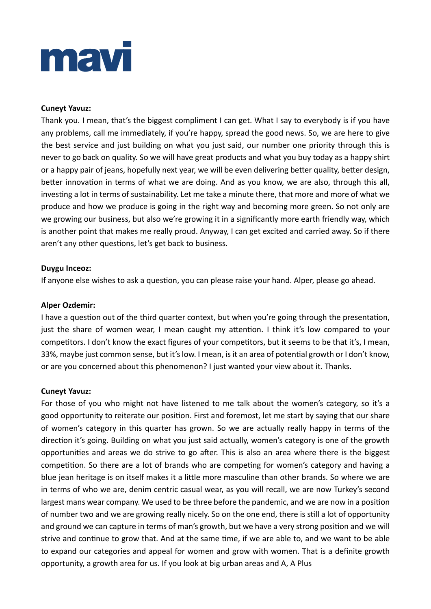# mav

## **Cuneyt Yavuz:**

Thank you. I mean, that's the biggest compliment I can get. What I say to everybody is if you have any problems, call me immediately, if you're happy, spread the good news. So, we are here to give the best service and just building on what you just said, our number one priority through this is never to go back on quality. So we will have great products and what you buy today as a happy shirt or a happy pair of jeans, hopefully next year, we will be even delivering better quality, better design, better innovation in terms of what we are doing. And as you know, we are also, through this all, investing a lot in terms of sustainability. Let me take a minute there, that more and more of what we produce and how we produce is going in the right way and becoming more green. So not only are we growing our business, but also we're growing it in a significantly more earth friendly way, which is another point that makes me really proud. Anyway, I can get excited and carried away. So if there aren't any other questions, let's get back to business.

## **Duygu Inceoz:**

If anyone else wishes to ask a question, you can please raise your hand. Alper, please go ahead.

### **Alper Ozdemir:**

I have a question out of the third quarter context, but when you're going through the presentation, just the share of women wear, I mean caught my attention. I think it's low compared to your competitors. I don't know the exact figures of your competitors, but it seems to be that it's, I mean, 33%, maybe just common sense, but it's low. I mean, is it an area of potential growth or I don't know, or are you concerned about this phenomenon? I just wanted your view about it. Thanks.

#### **Cuneyt Yavuz:**

For those of you who might not have listened to me talk about the women's category, so it's a good opportunity to reiterate our position. First and foremost, let me start by saying that our share of women's category in this quarter has grown. So we are actually really happy in terms of the direction it's going. Building on what you just said actually, women's category is one of the growth opportunities and areas we do strive to go after. This is also an area where there is the biggest competition. So there are a lot of brands who are competing for women's category and having a blue jean heritage is on itself makes it a little more masculine than other brands. So where we are in terms of who we are, denim centric casual wear, as you will recall, we are now Turkey's second largest mans wear company. We used to be three before the pandemic, and we are now in a position of number two and we are growing really nicely. So on the one end, there is still a lot of opportunity and ground we can capture in terms of man's growth, but we have a very strong position and we will strive and continue to grow that. And at the same time, if we are able to, and we want to be able to expand our categories and appeal for women and grow with women. That is a definite growth opportunity, a growth area for us. If you look at big urban areas and A, A Plus